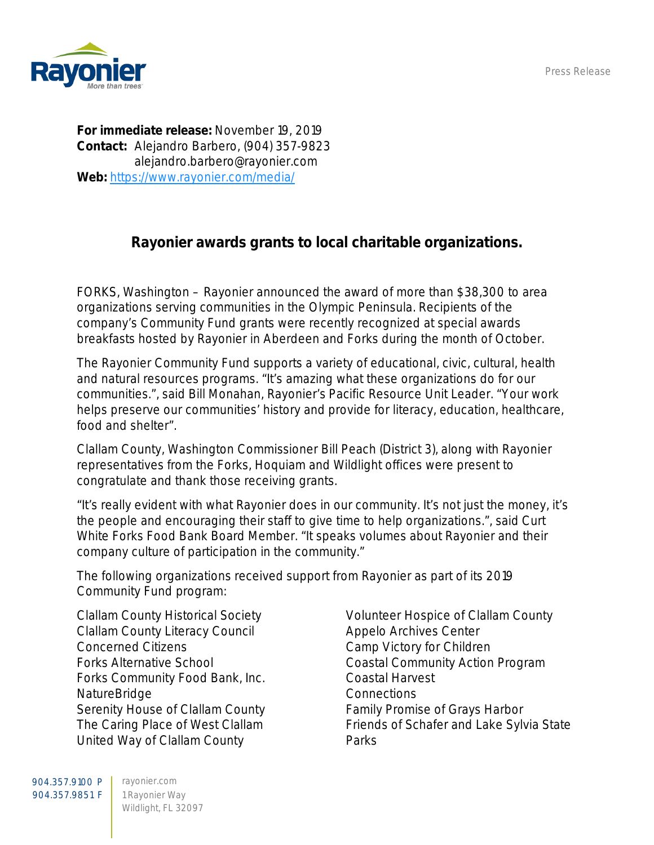Press Release



For immediate release: November 19, 2019 Contact: Alejandro Barbero, (904) 357-9823 alejandro.barbero@rayonier.com Web: <https://www.rayonier.com/media/>

## Rayonier awards grants to local charitable organizations.

FORKS, Washington – Rayonier announced the award of more than \$38,300 to area organizations serving communities in the Olympic Peninsula. Recipients of the company's Community Fund grants were recently recognized at special awards breakfasts hosted by Rayonier in Aberdeen and Forks during the month of October.

The Rayonier Community Fund supports a variety of educational, civic, cultural, health and natural resources programs. "It's amazing what these organizations do for our communities.", said Bill Monahan, Rayonier's Pacific Resource Unit Leader. "Your work helps preserve our communities' history and provide for literacy, education, healthcare, food and shelter".

Clallam County, Washington Commissioner Bill Peach (District 3), along with Rayonier representatives from the Forks, Hoquiam and Wildlight offices were present to congratulate and thank those receiving grants.

"It's really evident with what Rayonier does in our community. It's not just the money, it's the people and encouraging their staff to give time to help organizations.", said Curt White Forks Food Bank Board Member. "It speaks volumes about Rayonier and their company culture of participation in the community."

The following organizations received support from Rayonier as part of its 2019 Community Fund program:

Clallam County Historical Society Clallam County Literacy Council Concerned Citizens Forks Alternative School Forks Community Food Bank, Inc. NatureBridge Serenity House of Clallam County The Caring Place of West Clallam United Way of Clallam County

Volunteer Hospice of Clallam County Appelo Archives Center Camp Victory for Children Coastal Community Action Program Coastal Harvest **Connections** Family Promise of Grays Harbor Friends of Schafer and Lake Sylvia State Parks